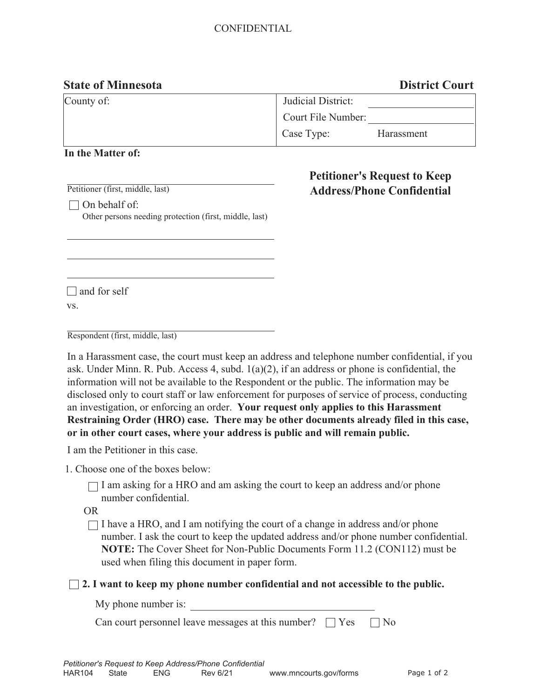# CONFIDENTIAL

## **State of Minnesota District Court**

| County of: | Judicial District: |            |
|------------|--------------------|------------|
|            | Court File Number: |            |
|            | Case Type:         | Harassment |

## **In the Matter of:**

Petitioner (first, middle, last)

**Petitioner's Request to Keep Address/Phone Confidential** 

 $\Box$  On behalf of: Other persons needing protection (first, middle, last)

 $\Box$  and for self vs.

Respondent (first, middle, last)

In a Harassment case, the court must keep an address and telephone number confidential, if you ask. Under Minn. R. Pub. Access 4, subd. 1(a)(2), if an address or phone is confidential, the information will not be available to the Respondent or the public. The information may be disclosed only to court staff or law enforcement for purposes of service of process, conducting an investigation, or enforcing an order. **Your request only applies to this Harassment Restraining Order (HRO) case. There may be other documents already filed in this case, or in other court cases, where your address is public and will remain public.** 

I am the Petitioner in this case.

1. Choose one of the boxes below:

 $\Box$  I am asking for a HRO and am asking the court to keep an address and/or phone number confidential.

OR

 $\Box$  I have a HRO, and I am notifying the court of a change in address and/or phone number. I ask the court to keep the updated address and/or phone number confidential. **NOTE:** The Cover Sheet for Non-Public Documents Form 11.2 (CON112) must be used when filing this document in paper form.

**2. I want to keep my phone number confidential and not accessible to the public.** 

| My phone number is: |  |
|---------------------|--|
|                     |  |

Can court personnel leave messages at this number?  $\Box$  Yes  $\Box$  No